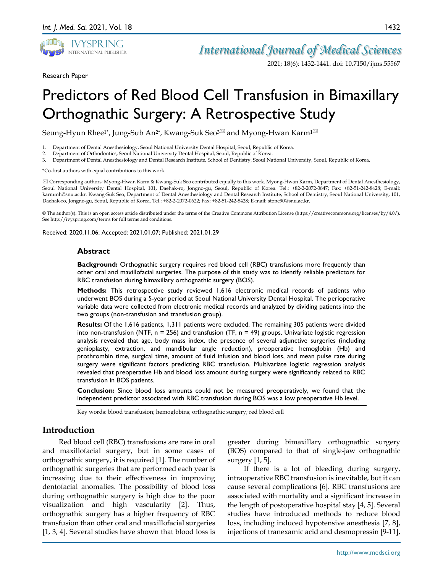

*International Journal of Medical Sciences*

2021; 18(6): 1432-1441. doi: 10.7150/ijms.55567

Research Paper

# Predictors of Red Blood Cell Transfusion in Bimaxillary Orthognathic Surgery: A Retrospective Study

Seung-Hyun Rhee<sup>1\*</sup>, Jung-Sub An<sup>2\*</sup>, Kwang-Suk Seo<sup>3 $\boxtimes$ </sup> and Myong-Hwan Karm<sup>1 $\boxtimes$ </sup>

- 1. Department of Dental Anesthesiology, Seoul National University Dental Hospital, Seoul, Republic of Korea.
- 2. Department of Orthodontics, Seoul National University Dental Hospital, Seoul, Republic of Korea.
- 3. Department of Dental Anesthesiology and Dental Research Institute, School of Dentistry, Seoul National University, Seoul, Republic of Korea.

\*Co-first authors with equal contributions to this work.

 Corresponding authors: Myong-Hwan Karm & Kwang-Suk Seo contributed equally to this work. Myong-Hwan Karm, Department of Dental Anesthesiology, Seoul National University Dental Hospital, 101, Daehak-ro, Jongno-gu, Seoul, Republic of Korea. Tel.: +82-2-2072-3847; Fax: +82-51-242-8428; E-mail: karmmh@snu.ac.kr. Kwang-Suk Seo, Department of Dental Anesthesiology and Dental Research Institute, School of Dentistry, Seoul National University, 101, Daehak-ro, Jongno-gu, Seoul, Republic of Korea. Tel.: +82-2-2072-0622; Fax: +82-51-242-8428; E-mail: stone90@snu.ac.kr.

© The author(s). This is an open access article distributed under the terms of the Creative Commons Attribution License (https://creativecommons.org/licenses/by/4.0/). See http://ivyspring.com/terms for full terms and conditions.

Received: 2020.11.06; Accepted: 2021.01.07; Published: 2021.01.29

#### **Abstract**

**Background:** Orthognathic surgery requires red blood cell (RBC) transfusions more frequently than other oral and maxillofacial surgeries. The purpose of this study was to identify reliable predictors for RBC transfusion during bimaxillary orthognathic surgery (BOS).

**Methods:** This retrospective study reviewed 1,616 electronic medical records of patients who underwent BOS during a 5-year period at Seoul National University Dental Hospital. The perioperative variable data were collected from electronic medical records and analyzed by dividing patients into the two groups (non-transfusion and transfusion group).

**Results:** Of the 1,616 patients, 1,311 patients were excluded. The remaining 305 patients were divided into non-transfusion (NTF,  $n = 256$ ) and transfusion (TF,  $n = 49$ ) groups. Univariate logistic regression analysis revealed that age, body mass index, the presence of several adjunctive surgeries (including genioplasty, extraction, and mandibular angle reduction), preoperative hemoglobin (Hb) and prothrombin time, surgical time, amount of fluid infusion and blood loss, and mean pulse rate during surgery were significant factors predicting RBC transfusion. Multivariate logistic regression analysis revealed that preoperative Hb and blood loss amount during surgery were significantly related to RBC transfusion in BOS patients.

**Conclusion:** Since blood loss amounts could not be measured preoperatively, we found that the independent predictor associated with RBC transfusion during BOS was a low preoperative Hb level.

Key words: blood transfusion; hemoglobins; orthognathic surgery; red blood cell

## **Introduction**

Red blood cell (RBC) transfusions are rare in oral and maxillofacial surgery, but in some cases of orthognathic surgery, it is required [1]. The number of orthognathic surgeries that are performed each year is increasing due to their effectiveness in improving dentofacial anomalies. The possibility of blood loss during orthognathic surgery is high due to the poor visualization and high vascularity [2]. Thus, orthognathic surgery has a higher frequency of RBC transfusion than other oral and maxillofacial surgeries [1, 3, 4]. Several studies have shown that blood loss is

greater during bimaxillary orthognathic surgery (BOS) compared to that of single-jaw orthognathic surgery [1, 5].

If there is a lot of bleeding during surgery, intraoperative RBC transfusion is inevitable, but it can cause several complications [6]. RBC transfusions are associated with mortality and a significant increase in the length of postoperative hospital stay [4, 5]. Several studies have introduced methods to reduce blood loss, including induced hypotensive anesthesia [7, 8], injections of tranexamic acid and desmopressin [9-11],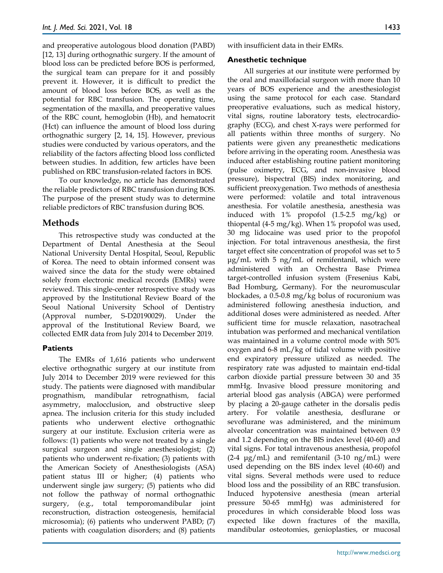and preoperative autologous blood donation (PABD) [12, 13] during orthognathic surgery. If the amount of blood loss can be predicted before BOS is performed, the surgical team can prepare for it and possibly prevent it. However, it is difficult to predict the amount of blood loss before BOS, as well as the potential for RBC transfusion. The operating time, segmentation of the maxilla, and preoperative values of the RBC count, hemoglobin (Hb), and hematocrit (Hct) can influence the amount of blood loss during orthognathic surgery [2, 14, 15]. However, previous studies were conducted by various operators, and the reliability of the factors affecting blood loss conflicted between studies. In addition, few articles have been published on RBC transfusion-related factors in BOS.

To our knowledge, no article has demonstrated the reliable predictors of RBC transfusion during BOS. The purpose of the present study was to determine reliable predictors of RBC transfusion during BOS.

# **Methods**

This retrospective study was conducted at the Department of Dental Anesthesia at the Seoul National University Dental Hospital, Seoul, Republic of Korea. The need to obtain informed consent was waived since the data for the study were obtained solely from electronic medical records (EMRs) were reviewed. This single-center retrospective study was approved by the Institutional Review Board of the Seoul National University School of Dentistry (Approval number, S-D20190029). Under the approval of the Institutional Review Board, we collected EMR data from July 2014 to December 2019.

#### **Patients**

The EMRs of 1,616 patients who underwent elective orthognathic surgery at our institute from July 2014 to December 2019 were reviewed for this study. The patients were diagnosed with mandibular prognathism, mandibular retrognathism, facial asymmetry, malocclusion, and obstructive sleep apnea. The inclusion criteria for this study included patients who underwent elective orthognathic surgery at our institute. Exclusion criteria were as follows: (1) patients who were not treated by a single surgical surgeon and single anesthesiologist; (2) patients who underwent re-fixation; (3) patients with the American Society of Anesthesiologists (ASA) patient status III or higher; (4) patients who underwent single jaw surgery; (5) patients who did not follow the pathway of normal orthognathic surgery, (e.g., total temporomandibular joint reconstruction, distraction osteogenesis, hemifacial microsomia); (6) patients who underwent PABD; (7) patients with coagulation disorders; and (8) patients

with insufficient data in their EMRs.

#### **Anesthetic technique**

All surgeries at our institute were performed by the oral and maxillofacial surgeon with more than 10 years of BOS experience and the anesthesiologist using the same protocol for each case. Standard preoperative evaluations, such as medical history, vital signs, routine laboratory tests, electrocardiography (ECG), and chest X-rays were performed for all patients within three months of surgery. No patients were given any preanesthetic medications before arriving in the operating room. Anesthesia was induced after establishing routine patient monitoring (pulse oximetry, ECG, and non-invasive blood pressure), bispectral (BIS) index monitoring, and sufficient preoxygenation. Two methods of anesthesia were performed: volatile and total intravenous anesthesia. For volatile anesthesia, anesthesia was induced with 1% propofol (1.5-2.5 mg/kg) or thiopental (4-5 mg/kg). When 1% propofol was used, 30 mg lidocaine was used prior to the propofol injection. For total intravenous anesthesia, the first target effect site concentration of propofol was set to 5 μg/mL with 5 ng/mL of remifentanil, which were administered with an Orchestra Base Primea target-controlled infusion system (Fresenius Kabi, Bad Homburg, Germany). For the neuromuscular blockades, a 0.5-0.8 mg/kg bolus of rocuronium was administered following anesthesia induction, and additional doses were administered as needed. After sufficient time for muscle relaxation, nasotracheal intubation was performed and mechanical ventilation was maintained in a volume control mode with 50% oxygen and 6-8 mL/kg of tidal volume with positive end expiratory pressure utilized as needed. The respiratory rate was adjusted to maintain end-tidal carbon dioxide partial pressure between 30 and 35 mmHg. Invasive blood pressure monitoring and arterial blood gas analysis (ABGA) were performed by placing a 20-gauge catheter in the dorsalis pedis artery. For volatile anesthesia, desflurane or sevoflurane was administered, and the minimum alveolar concentration was maintained between 0.9 and 1.2 depending on the BIS index level (40-60) and vital signs. For total intravenous anesthesia, propofol  $(2-4 \mu g/mL)$  and remifentanil  $(3-10 \mu g/mL)$  were used depending on the BIS index level (40-60) and vital signs. Several methods were used to reduce blood loss and the possibility of an RBC transfusion. Induced hypotensive anesthesia (mean arterial pressure 50-65 mmHg) was administered for procedures in which considerable blood loss was expected like down fractures of the maxilla, mandibular osteotomies, genioplasties, or mucosal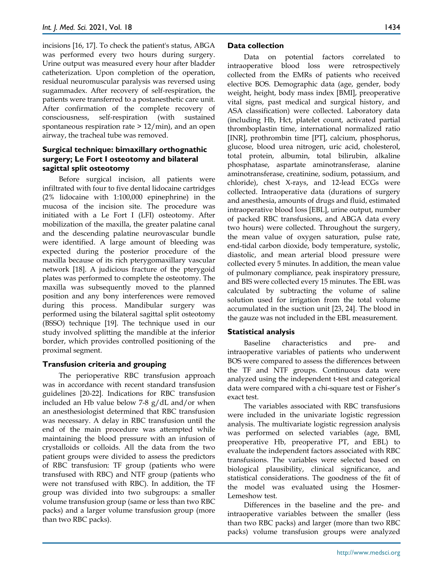incisions [16, 17]. To check the patient's status, ABGA was performed every two hours during surgery. Urine output was measured every hour after bladder catheterization. Upon completion of the operation, residual neuromuscular paralysis was reversed using sugammadex. After recovery of self-respiration, the patients were transferred to a postanesthetic care unit. After confirmation of the complete recovery of consciousness, self-respiration (with sustained spontaneous respiration rate  $> 12/min$ , and an open airway, the tracheal tube was removed.

## **Surgical technique: bimaxillary orthognathic surgery; Le Fort I osteotomy and bilateral sagittal split osteotomy**

Before surgical incision, all patients were infiltrated with four to five dental lidocaine cartridges (2% lidocaine with 1:100,000 epinephrine) in the mucosa of the incision site. The procedure was initiated with a Le Fort I (LFI) osteotomy. After mobilization of the maxilla, the greater palatine canal and the descending palatine neurovascular bundle were identified. A large amount of bleeding was expected during the posterior procedure of the maxilla because of its rich pterygomaxillary vascular network [18]. A judicious fracture of the pterygoid plates was performed to complete the osteotomy. The maxilla was subsequently moved to the planned position and any bony interferences were removed during this process. Mandibular surgery was performed using the bilateral sagittal split osteotomy (BSSO) technique [19]. The technique used in our study involved splitting the mandible at the inferior border, which provides controlled positioning of the proximal segment.

## **Transfusion criteria and grouping**

The perioperative RBC transfusion approach was in accordance with recent standard transfusion guidelines [20-22]. Indications for RBC transfusion included an Hb value below 7-8 g/dL and/or when an anesthesiologist determined that RBC transfusion was necessary. A delay in RBC transfusion until the end of the main procedure was attempted while maintaining the blood pressure with an infusion of crystalloids or colloids. All the data from the two patient groups were divided to assess the predictors of RBC transfusion: TF group (patients who were transfused with RBC) and NTF group (patients who were not transfused with RBC). In addition, the TF group was divided into two subgroups: a smaller volume transfusion group (same or less than two RBC packs) and a larger volume transfusion group (more than two RBC packs).

#### **Data collection**

Data on potential factors correlated to intraoperative blood loss were retrospectively collected from the EMRs of patients who received elective BOS. Demographic data (age, gender, body weight, height, body mass index [BMI], preoperative vital signs, past medical and surgical history, and ASA classification) were collected. Laboratory data (including Hb, Hct, platelet count, activated partial thromboplastin time, international normalized ratio [INR], prothrombin time [PT], calcium, phosphorus, glucose, blood urea nitrogen, uric acid, cholesterol, total protein, albumin, total bilirubin, alkaline phosphatase, aspartate aminotransferase, alanine aminotransferase, creatinine, sodium, potassium, and chloride), chest X-rays, and 12-lead ECGs were collected. Intraoperative data (durations of surgery and anesthesia, amounts of drugs and fluid, estimated intraoperative blood loss [EBL], urine output, number of packed RBC transfusions, and ABGA data every two hours) were collected. Throughout the surgery, the mean value of oxygen saturation, pulse rate, end-tidal carbon dioxide, body temperature, systolic, diastolic, and mean arterial blood pressure were collected every 5 minutes. In addition, the mean value of pulmonary compliance, peak inspiratory pressure, and BIS were collected every 15 minutes. The EBL was calculated by subtracting the volume of saline solution used for irrigation from the total volume accumulated in the suction unit [23, 24]. The blood in the gauze was not included in the EBL measurement.

## **Statistical analysis**

Baseline characteristics and pre- and intraoperative variables of patients who underwent BOS were compared to assess the differences between the TF and NTF groups. Continuous data were analyzed using the independent t-test and categorical data were compared with a chi-square test or Fisher's exact test.

The variables associated with RBC transfusions were included in the univariate logistic regression analysis. The multivariate logistic regression analysis was performed on selected variables (age, BMI, preoperative Hb, preoperative PT, and EBL) to evaluate the independent factors associated with RBC transfusions. The variables were selected based on biological plausibility, clinical significance, and statistical considerations. The goodness of the fit of the model was evaluated using the Hosmer-Lemeshow test.

Differences in the baseline and the pre- and intraoperative variables between the smaller (less than two RBC packs) and larger (more than two RBC packs) volume transfusion groups were analyzed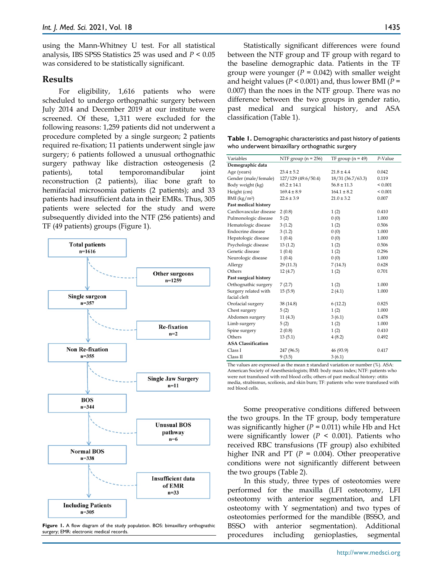using the Mann-Whitney U test. For all statistical analysis, IBS SPSS Statistics 25 was used and *P* < 0.05 was considered to be statistically significant.

## **Results**

For eligibility, 1,616 patients who were scheduled to undergo orthognathic surgery between July 2014 and December 2019 at our institute were screened. Of these, 1,311 were excluded for the following reasons: 1,259 patients did not underwent a procedure completed by a single surgeon; 2 patients required re-fixation; 11 patients underwent single jaw surgery; 6 patients followed a unusual orthognathic surgery pathway like distraction osteogenesis (2 patients), total temporomandibular joint reconstruction (2 patients), iliac bone graft to hemifacial microsomia patients (2 patients); and 33 patients had insufficient data in their EMRs. Thus, 305 patients were selected for the study and were subsequently divided into the NTF (256 patients) and TF (49 patients) groups (Figure 1).



Figure 1. A flow diagram of the study population. BOS: bimaxillary orthognathic surgery; EMR: electronic medical records.

Statistically significant differences were found between the NTF group and TF group with regard to the baseline demographic data. Patients in the TF group were younger  $(P = 0.042)$  with smaller weight and height values (*P* < 0.001) and, thus lower BMI (*P* = 0.007) than the noes in the NTF group. There was no difference between the two groups in gender ratio, past medical and surgical history, and ASA classification (Table 1).

**Table 1.** Demographic characteristics and past history of patients who underwent bimaxillary orthognathic surgery

| Variables                            | NTF group $(n = 256)$ | TF group $(n = 49)$ | P-Value |
|--------------------------------------|-----------------------|---------------------|---------|
| Demographic data                     |                       |                     |         |
| Age (years)                          | $23.4 \pm 5.2$        | $21.8 \pm 4.4$      | 0.042   |
| Gender (male/female)                 | 127/129 (49.6/50.4)   | 18/31 (36.7/63.3)   | 0.119   |
| Body weight (kg)                     | $65.2 \pm 14.1$       | $56.8 \pm 11.3$     | < 0.001 |
| Height (cm)                          | $169.4 \pm 8.9$       | $164.1 \pm 8.2$     | < 0.001 |
| BMI (kg/m <sup>2</sup> )             | $22.6 \pm 3.9$        | $21.0 \pm 3.2$      | 0.007   |
| Past medical history                 |                       |                     |         |
| Cardiovascular disease               | 2(0.8)                | 1(2)                | 0.410   |
| Pulmonologic disease                 | 5(2)                  | 0(0)                | 1.000   |
| Hematologic disease                  | 3(1.2)                | 1(2)                | 0.506   |
| Endocrine disease                    | 3(1.2)                | 0(0)                | 1.000   |
| Hepatologic disease                  | 1(0.4)                | 0(0)                | 1.000   |
| Psychologic disease                  | 13(1.2)               | 1(2)                | 0.506   |
| Genetic disease                      | 1(0.4)                | 1(2)                | 0.296   |
| Neurologic disease                   | 1(0.4)                | 0(0)                | 1.000   |
| Allergy                              | 29 (11.3)             | 7(14.3)             | 0.628   |
| Others                               | 12(4.7)               | 1(2)                | 0.701   |
| Past surgical history                |                       |                     |         |
| Orthognathic surgery                 | 7(2.7)                | 1(2)                | 1.000   |
| Surgery related with<br>facial cleft | 15(5.9)               | 2(4.1)              | 1.000   |
| Orofacial surgery                    | 38 (14.8)             | 6(12.2)             | 0.825   |
| Chest surgery                        | 5(2)                  | 1(2)                | 1.000   |
| Abdomen surgery                      | 11(4.3)               | 3(6.1)              | 0.478   |
| Limb surgery                         | 5(2)                  | 1(2)                | 1.000   |
| Spine surgery                        | 2(0.8)                | 1(2)                | 0.410   |
| Others                               | 13(5.1)               | 4(8.2)              | 0.492   |
| <b>ASA Classification</b>            |                       |                     |         |
| Class I                              | 247 (96.5)            | 46 (93.9)           | 0.417   |
| Class II                             | 9(3.5)                | 3(6.1)              |         |

The values are expressed as the mean ± standard variation or number (%). ASA: American Society of Anesthesiologists; BMI: body mass index; NTF: patients who were not transfused with red blood cells; others of past medical history: otitis media, strabismus, scoliosis, and skin burn; TF: patients who were transfused with red blood cells.

Some preoperative conditions differed between the two groups. In the TF group, body temperature was significantly higher (*P* = 0.011) while Hb and Hct were significantly lower ( $P < 0.001$ ). Patients who received RBC transfusions (TF group) also exhibited higher INR and PT (*P* = 0.004). Other preoperative conditions were not significantly different between the two groups (Table 2).

In this study, three types of osteotomies were performed for the maxilla (LFI osteotomy, LFI osteotomy with anterior segmentation, and LFI osteotomy with Y segmentation) and two types of osteotomies performed for the mandible (BSSO, and BSSO with anterior segmentation). Additional procedures including genioplasties, segmental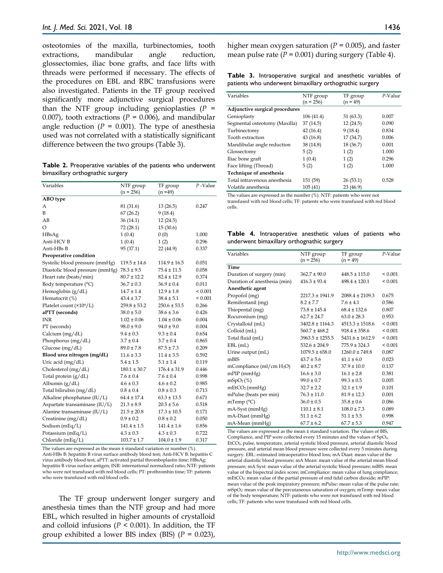osteotomies of the maxilla, turbinectomies, tooth extractions, mandibular angle reduction, glossectomies, iliac bone grafts, and face lifts with threads were performed if necessary. The effects of the procedures on EBL and RBC transfusions were also investigated. Patients in the TF group received significantly more adjunctive surgical procedures than the NTF group including genioplasties  $(P =$ 0.007), tooth extractions ( $P = 0.006$ ), and mandibular angle reduction  $(P = 0.001)$ . The type of anesthesia used was not correlated with a statistically significant difference between the two groups (Table 3).

**Table 2.** Preoperative variables of the patients who underwent bimaxillary orthognathic surgery

| Variables                       | NTF group<br>$(n = 256)$ | TF group<br>$(n = 49)$ | $P$ -Value  |
|---------------------------------|--------------------------|------------------------|-------------|
| ABO type                        |                          |                        |             |
| А                               | 81 (31.6)                | 13(26.5)               | 0.247       |
| B                               | 67(26.2)                 | 9(18.4)                |             |
| AB                              | 36(14.1)                 | 12(24.5)               |             |
| O                               | 72 (28.1)                | 15(30.6)               |             |
| HBsAg                           | 1(0.4)                   | 0(0)                   | 1.000       |
| Anti-HCV B                      | 1(0.4)                   | 1(2)                   | 0.296       |
| Anti-HBs B                      | 95 (37.1)                | 22 (44.9)              | 0.337       |
| Preoperative condition          |                          |                        |             |
| Systolic blood pressure (mmHg)  | $119.5 \pm 14.6$         | $114.9 \pm 16.5$       | 0.051       |
| Diastolic blood pressure (mmHg) | $78.3 \pm 9.5$           | $75.4 \pm 11.5$        | 0.058       |
| Heart rate (beats/min)          | $80.7 \pm 12.2$          | $82.4 \pm 12.9$        | 0.374       |
| Body temperature (°C)           | $36.7 \pm 0.3$           | $36.9 \pm 0.4$         | 0.011       |
| Hemoglobin $(g/dL)$             | $14.7 \pm 1.4$           | $12.9 \pm 1.8$         | ${}< 0.001$ |
| Hematocrit (%)                  | $43.4 \pm 3.7$           | $38.4 \pm 5.1$         | ${}< 0.001$ |
| Platelet count (×109/L)         | $259.8 \pm 53.2$         | $250.6 \pm 53.5$       | 0.266       |
| aPTT (seconds)                  | $38.0 \pm 5.0$           | $38.6 \pm 3.6$         | 0.426       |
| INR                             | $1.02 \pm 0.06$          | $1.04 \pm 0.06$        | 0.004       |
| PT (seconds)                    | $98.0 \pm 9.0$           | $94.0 \pm 9.0$         | 0.004       |
| Calcium (mg/dL)                 | $9.4 \pm 0.3$            | $9.3 \pm 0.4$          | 0.654       |
| Phosphorus (mg/dL)              | $3.7 \pm 0.4$            | $3.7 \pm 0.4$          | 0.865       |
| Glucose $(mg/dL)$               | $89.0 \pm 7.8$           | $87.5 \pm 7.3$         | 0.209       |
| Blood urea nitrogen (mg/dL)     | $11.6 \pm 3.3$           | $11.4 \pm 3.5$         | 0.592       |
| Uric acid (mg/dL)               | $5.4 \pm 1.5$            | $5.1 \pm 1.4$          | 0.119       |
| Cholesterol (mg/dL)             | $180.1 \pm 30.7$         | $176.4 \pm 31.9$       | 0.446       |
| Total protein $(g/dL)$          | $7.6 \pm 0.4$            | $7.6 \pm 0.4$          | 0.998       |
| Albumin $(g/dL)$                | $4.6 \pm 0.3$            | $4.6 \pm 0.2$          | 0.985       |
| Total bilirubin (mg/dL)         | $0.8 \pm 0.4$            | $0.8 \pm 0.3$          | 0.713       |
| Alkaline phosphatase (IU/L)     | $64.4 \pm 17.4$          | $63.3 \pm 13.5$        | 0.671       |
| Aspartate transaminase (IU/L)   | $21.3 \pm 8.9$           | $20.5 \pm 5.6$         | 0.518       |
| Alanine transaminase (IU/L)     | $21.5 \pm 20.8$          | $17.3 \pm 10.5$        | 0.171       |
| Creatinine (mg/dL)              | $0.9 \pm 0.2$            | $0.8 \pm 0.2$          | 0.050       |
| Sodium (mEq/L)                  | $141.4 \pm 1.5$          | $141.4 \pm 1.6$        | 0.856       |
| Potassium (mEq/L)               | $4.3 \pm 0.3$            | $4.3 \pm 0.3$          | 0.722       |
| Chloride (mEq/L)                | $103.7 \pm 1.7$          | $104.0 \pm 1.9$        | 0.317       |

The values are expressed as the mean ± standard variation or number (%). Anti-HBs B: hepatitis B virus surface antibody blood test; Anti-HCV B: hepatitis C virus antibody blood test; aPTT: activated partial thromboplastin time; HBsAg: hepatitis B virus surface antigen; INR: international normalized ratio; NTF: patients who were not transfused with red blood cells; PT: prothrombin time; TF: patients who were transfused with red blood cells.

The TF group underwent longer surgery and anesthesia times than the NTF group and had more EBL, which resulted in higher amounts of crystalloid and colloid infusions ( $P \le 0.001$ ). In addition, the TF group exhibited a lower BIS index (BIS) (*P* = 0.023),

higher mean oxygen saturation ( $P = 0.005$ ), and faster mean pulse rate  $(P = 0.001)$  during surgery (Table 4).

**Table 3.** Intraoperative surgical and anesthetic variables of patients who underwent bimaxillary orthognathic surgery

| Variables                      | NTF group<br>$(n = 256)$ | TF group<br>$(n = 49)$ | P-Value |
|--------------------------------|--------------------------|------------------------|---------|
| Adjunctive surgical procedures |                          |                        |         |
| Genioplasty                    | 106 (41.4)               | 31(63.3)               | 0.007   |
| Segmental osteotomy (Maxilla)  | 37 (14.5)                | 12(24.5)               | 0.090   |
| Turbinectomy                   | 42(16.4)                 | 9(18.4)                | 0.834   |
| Tooth extraction               | 43 (16.8)                | 17 (34.7)              | 0.006   |
| Mandibular angle reduction     | 38 (14.8)                | 18 (36.7)              | 0.001   |
| Glossectomy                    | 5(2)                     | 1(2)                   | 1.000   |
| Iliac bone graft               | 1(0.4)                   | 1(2)                   | 0.296   |
| Face lifting (Thread)          | 5(2)                     | 1(2)                   | 1.000   |
| Technique of anesthesia        |                          |                        |         |
| Total intravenous anesthesia   | 151 (59)                 | 26(53.1)               | 0.528   |
| Volatile anesthesia            | 105(41)                  | 23 (46.9)              |         |

The values are expressed as the number (%). NTF: patients who were not transfused with red blood cells; TF: patients who were transfused with red blood cells.

**Table 4.** Intraoperative anesthetic values of patients who underwent bimaxillary orthognathic surgery

| Variables                    | NTF group<br>$(n = 256)$ | TF group<br>$(n = 49)$ | $P-Value$    |
|------------------------------|--------------------------|------------------------|--------------|
| Time                         |                          |                        |              |
| Duration of surgery (min)    | $362.7 \pm 90.0$         | $448.5 \pm 115.0$      | ${}_{0.001}$ |
| Duration of anesthesia (min) | $416.3 \pm 93.4$         | $498.4 \pm 120.1$      | ${}_{0.001}$ |
| Anesthetic agent             |                          |                        |              |
| Propofol (mg)                | $2217.3 \pm 1941.9$      | $2088.4 \pm 2109.3$    | 0.675        |
| Remifentanil (mg)            | $8.2 \pm 7.7$            | $7.6 \pm 4.1$          | 0.586        |
| Thiopental (mg)              | $73.8 \pm 145.4$         | $68.4 \pm 132.6$       | 0.807        |
| Rocuronium (mg)              | $62.7 \pm 24.7$          | $63.0 \pm 28.3$        | 0.953        |
| Crystalloid (mL)             | $3402.8 \pm 1164.3$      | $4513.3 \pm 1518.6$    | ${}_{0.001}$ |
| Colloid (mL)                 | $560.7 \pm 468.2$        | $918.4 \pm 358.6$      | ${}_{0.001}$ |
| Total fluid (mL)             | $3963.5 \pm 1255.5$      | $5431.6 \pm 1612.9$    | ${}_{0.001}$ |
| $EBL$ (mL)                   | $532.6 \pm 204.9$        | $775.9 \pm 324.3$      | ${}_{0.001}$ |
| Urine output (mL)            | $1079.5 \pm 658.0$       | $1260.0 \pm 749.8$     | 0.087        |
| mBIS                         | $43.7 \pm 5.6$           | $41.1 \pm 6.0$         | 0.023        |
| mCompliance (ml/cm $H_2O$ )  | $40.2 \pm 8.7$           | $37.9 \pm 10.0$        | 0.137        |
| $m$ PIP ( $mm$ Hg)           | $16.6 \pm 3.0$           | $16.1 \pm 2.8$         | 0.381        |
| mSpO <sub>2</sub> (%)        | $99.0 \pm 0.7$           | $99.3 \pm 0.5$         | 0.005        |
| mEtCO <sub>2</sub> (mmHg)    | $32.7 \pm 2.2$           | $32.1 \pm 1.9$         | 0.101        |
| mPulse (beats per min)       | $76.3 \pm 11.0$          | $81.9 \pm 12.3$        | 0.001        |
| mTemp $(^{\circ}C)$          | $36.0 \pm 0.5$           | $35.8 \pm 0.6$         | 0.086        |
| mA-Syst (mmHg)               | $110.1 \pm 8.1$          | $108.0 \pm 7.3$        | 0.089        |
| mA-Diast (mmHg)              | $51.1 \pm 6.2$           | $51.1 \pm 5.5$         | 0.998        |
| mA-Mean (mmHg)               | $67.7 \pm 6.2$           | $67.7 \pm 5.3$         | 0.947        |

The values are expressed as the mean ± standard variation. The values of BIS, Compliance, and PIP were collected every 15 minutes and the values of  $SpO<sub>2</sub>$ EtCO2, pulse, temperature, arterial systolic blood pressure, arterial diastolic blood pressure, and arterial mean blood pressure were collected every 5 minutes during surgery. EBL: estimated intraoperative blood loss; mA Diast: mean value of the arterial diastolic blood pressure; mA Mean: mean value of the arterial mean blood pressure; mA Syst: mean value of the arterial systolic blood pressure; mBIS: mean value of the bispectral index score; mCompliance: mean value of lung compliance; mEtCO2: mean value of the partial pressure of end tidal carbon dioxide; mPIP: mean value of the peak inspiratory pressure; mPulse: mean value of the pulse rate; mSpO2: mean value of the percutaneous saturation of oxygen; mTemp: mean value of the body temperature; NTF: patients who were not transfused with red blood cells; TF: patients who were transfused with red blood cells.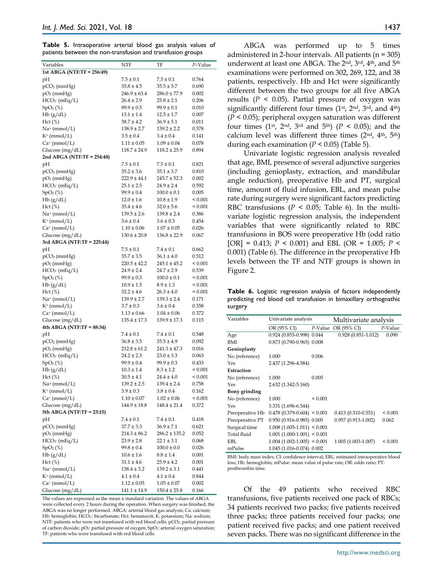**Table 5.** Intraoperative arterial blood gas analysis values of patients between the non-transfusion and transfusion groups

| Variables                  | NTF              | TF                | P-Value      |
|----------------------------|------------------|-------------------|--------------|
| 1st ABGA (NTF:TF = 256:49) |                  |                   |              |
| pН                         | $7.5 \pm 0.1$    | $7.5 \pm 0.1$     | 0.764        |
| $pCO2$ (mmHg)              | $35.8 \pm 4.5$   | $35.5 \pm 5.7$    | 0.690        |
| $pO2$ (mmHg)               | $246.9 \pm 63.4$ | $286.0 \pm 77.9$  | 0.002        |
| $HCO3$ (mEq/L)             | $26.4 \pm 2.9$   | $25.8 \pm 2.1$    | 0.206        |
| SpO <sub>2</sub> (%)       | $99.9 \pm 0.5$   | $99.9 \pm 0.1$    | 0.010        |
|                            |                  |                   |              |
| Hb(g/dL)                   | $13.1 \pm 1.4$   | $12.5 \pm 1.7$    | 0.007        |
| $Hct (\%)$                 | $38.7 \pm 4.2$   | $36.9 \pm 5.1$    | 0.011        |
| $Na^+$ (mmol/L)            | $138.9 \pm 2.7$  | $139.2 \pm 2.2$   | 0.578        |
| $K^+$ (mmol/L)             | $3.5 \pm 0.4$    | $3.4 \pm 0.4$     | 0.141        |
| $Ca^+$ (mmol/L)            | $1.11 \pm 0.05$  | $1.09 \pm 0.04$   | 0.078        |
| Glucose (mg/dL)            | $118.7 \pm 24.9$ | $118.2 \pm 25.9$  | 0.894        |
| 2nd ABGA (NTF:TF = 254:48) |                  |                   |              |
| pН                         | $7.5 \pm 0.1$    | $7.5 \pm 0.1$     | 0.821        |
| $pCO2$ (mmHg)              | $35.2 \pm 3.6$   | $35.1 \pm 3.7$    | 0.810        |
| $pO2$ (mmHg)               | $222.9 \pm 44.1$ | $245.7 \pm 52.3$  | 0.002        |
| $HCO3$ (mEq/L)             | $25.1 \pm 2.5$   | $24.9 \pm 2.4$    | 0.592        |
| SpO <sub>2</sub> (%)       | $99.9 \pm 0.4$   | $100.0 \pm 0.1$   | 0.005        |
| Hb(g/dL)                   | $12.0 \pm 1.6$   | $10.8 \pm 1.9$    | ${}_{0.001}$ |
| $Hct (\%)$                 | $35.4 \pm 4.6$   | $32.0 \pm 5.6$    | ${}_{0.001}$ |
| $Na^+$ (mmol/L)            | $139.5 \pm 2.6$  | $139.8 \pm 2.4$   | 0.386        |
| $K^+$ (mmol/L)             | $3.6 \pm 0.4$    | $3.6 \pm 0.3$     | 0.454        |
| $Ca^+$ (mmol/L)            | $1.10 \pm 0.06$  | $1.07 \pm 0.05$   | 0.026        |
| Glucose $(mg/dL)$          | $130.6 \pm 20.8$ | $136.8 \pm 22.9$  | 0.067        |
| 3rd ABGA (NTF:TF = 225:44) |                  |                   |              |
| pН                         | $7.5 \pm 0.1$    | $7.4 \pm 0.1$     | 0.662        |
| $pCO2$ (mmHg)              | $35.7 \pm 3.5$   | $36.1 \pm 4.0$    | 0.512        |
| $pO2$ (mmHg)               | $220.5 \pm 42.2$ | $245.1 \pm 45.2$  | ${}_{0.001}$ |
| $HCO3$ (mEq/L)             | $24.9 \pm 2.4$   | $24.7 \pm 2.9$    | 0.539        |
| SpO <sub>2</sub> (%)       | $99.9 \pm 0.3$   | $100.0 \pm 0.1$   | ${}_{0.001}$ |
| Hb(g/dL)                   | $10.9 \pm 1.5$   | $8.9 \pm 1.3$     | ${}_{0.001}$ |
| $Hct (\%)$                 | $32.2 \pm 4.6$   | $26.3 \pm 4.0$    | ${}_{0.001}$ |
| $Na^+$ (mmol/L)            | $139.9 \pm 2.7$  | $139.3 \pm 2.4$   | 0.171        |
| $K^+$ (mmol/L)             | $3.7 \pm 0.3$    | $3.6 \pm 0.4$     | 0.358        |
| $Ca^+$ (mmol/L)            | $1.13 \pm 0.66$  | $1.04 \pm 0.06$   | 0.372        |
| Glucose (mg/dL)            | $135.4 \pm 17.3$ | $139.9 \pm 17.3$  | 0.115        |
| 4th ABGA (NTF:TF = 88:34)  |                  |                   |              |
|                            | $7.4 \pm 0.1$    | $7.4 \pm 0.1$     |              |
| pH                         | $36.8 \pm 3.5$   | $35.5 \pm 4.9$    | 0.548        |
| $pCO2$ (mmHg)              |                  |                   | 0.092        |
| $pO2$ (mmHg)               | $212.8 \pm 61.2$ | $241.3 \pm 47.3$  | 0.016        |
| $HCO3$ (mEq/L)             | $24.2 \pm 2.3$   | $23.0 \pm 3.3$    | 0.063        |
| SpO <sub>2</sub> (%)       | $99.9 \pm 0.4$   | $99.9 \pm 0.3$    | 0.433        |
| Hb(g/dL)                   | $10.3 \pm 1.4$   | $8.3 \pm 1.2$     | ${}_{0.001}$ |
| $Hct (\%)$                 | $30.5 \pm 4.1$   | $24.4 \pm 4.0$    | ${}_{0.001}$ |
| $Na^+$ (mmol/L)            | $139.2 \pm 2.5$  | $139.4 \pm 2.4$   | 0.758        |
| $K^+$ (mmol/L)             | $3.9 \pm 0.3$    | $3.8 \pm 0.4$     | 0.162        |
| $Ca^+$ (mmol/L)            | $1.10 \pm 0.07$  | $1.02 \pm 0.06$   | < 0.001      |
| Glucose (mg/dL)            | $144.9 \pm 18.8$ | $148.4 \pm 21.4$  | 0.372        |
| 5th ABGA (NTF:TF = 23:15)  |                  |                   |              |
| pН                         | $7.4 \pm 0.1$    | $7.4 \pm 0.1$     | 0.418        |
| $pCO2$ (mmHg)              | $37.7 \pm 3.3$   | $36.9 \pm 7.1$    | 0.621        |
| $pO2$ (mmHg)               | $214.3 \pm 86.2$ | $286.2 \pm 135.2$ | 0.052        |
| HCO <sub>3</sub> (mEq/L)   | $23.9 \pm 2.8$   | $22.1 \pm 3.1$    | 0.068        |
| SpO <sub>2</sub> (%)       | $99.8 \pm 0.4$   | $100.0 \pm 0.0$   | 0.026        |
| Hb(g/dL)                   | $10.6 \pm 1.6$   | $8.8 \pm 1.4$     | 0.001        |
| Hct (%)                    | $31.1 \pm 4.6$   | $25.9 \pm 4.2$    | 0.001        |
| $Na^+$ (mmol/L)            | $138.4 \pm 3.2$  | $139.2 \pm 3.1$   | 0.441        |
| $K^+$ (mmol/L)             | $4.1 \pm 0.4$    | $4.1 \pm 0.4$     | 0.844        |
| $Ca^+$ (mmol/L)            | $1.12 \pm 0.05$  | $1.05 \pm 0.07$   | 0.002        |
| Glucose (mg/dL)            | $141.1 \pm 14.9$ | $150.4 \pm 25.8$  | 0.166        |

The values are expressed as the mean ± standard variation. The values of ABGA were collected every 2 hours during the operation. When surgery was finished, the ABGA was no longer performed. ABGA: arterial blood gas analysis; Ca: calcium; Hb: hemoglobin; HCO3- : bicarbonate; Hct: hematocrit; K: potassium; Na: sodium; NTF: patients who were not transfused with red blood cells; pCO<sub>2</sub>: partial pressure of carbon dioxide; pO<sub>2</sub>: partial pressure of oxygen; SpO<sub>2</sub>: arterial oxygen saturation; TF: patients who were transfused with red blood cells.

ABGA was performed up to 5 times administered in 2-hour intervals. All patients  $(n = 305)$ underwent at least one ABGA. The 2<sup>nd</sup>, 3<sup>rd</sup>, 4<sup>th</sup>, and 5<sup>th</sup> examinations were performed on 302, 269, 122, and 38 patients, respectively. Hb and Hct were significantly different between the two groups for all five ABGA results ( $P < 0.05$ ). Partial pressure of oxygen was significantly different four times  $(1<sup>st</sup>, 2<sup>nd</sup>, 3<sup>rd</sup>, and 4<sup>th</sup>)$ (*P* < 0.05); peripheral oxygen saturation was different four times  $(1^{st}, 2^{nd}, 3^{rd} \text{ and } 5^{th})$   $(P < 0.05)$ ; and the calcium level was different three times (2nd, 4th, 5th) during each examination (*P* < 0.05) (Table 5).

Univariate logistic regression analysis revealed that age, BMI, presence of several adjunctive surgeries (including genioplasty, extraction, and mandibular angle reduction), preoperative Hb and PT, surgical time, amount of fluid infusion, EBL, and mean pulse rate during surgery were significant factors predicting RBC transfusions ( $P < 0.05$ ; Table 6). In the multivariate logistic regression analysis, the independent variables that were significantly related to RBC transfusions in BOS were preoperative Hb (odd ratio [OR] = 0.413; *P* < 0.001) and EBL (OR = 1.005; *P* < 0.001) (Table 6). The difference in the preoperative Hb levels between the TF and NTF groups is shown in Figure 2.

**Table 6.** Logistic regression analysis of factors independently predicting red blood cell transfusion in bimaxillary orthognathic surgery

| Variables       | Univariate analysis           |              | Multivariate analysis  |              |
|-----------------|-------------------------------|--------------|------------------------|--------------|
|                 | OR (95% CI)                   | P-Value      | OR (95% CI)            | P-Value      |
| Age             | 0.924 (0.855-0.998) 0.044     |              | $0.928(0.851 - 1.012)$ | 0.090        |
| BMI             | $0.873(0.790-0.965)0.008$     |              |                        |              |
| Genioplasty     |                               |              |                        |              |
| No (reference)  | 1.000                         | 0.006        |                        |              |
| Yes             | 2.437 (1.296-4.584)           |              |                        |              |
| Extraction      |                               |              |                        |              |
| No (reference)  | 1.000                         | 0.005        |                        |              |
| Yes             | $2.632(1.342 - 5.160)$        |              |                        |              |
| Bony grinding   |                               |              |                        |              |
| No (reference)  | 1.000                         | ${}_{0.001}$ |                        |              |
| Yes             | 3.331 (1.696-6.544)           |              |                        |              |
| Preoperative Hb | $0.478$ (0.379-0.604) < 0.001 |              | $0.413(0.310 - 0.551)$ | ${}_{0.001}$ |
| Preoperative PT | $0.950(0.916 - 0.985)0.005$   |              | $0.957(0.913 - 1.002)$ | 0.062        |
| Surgical time   | $1.008(1.005-1.011) < 0.001$  |              |                        |              |
| Total fluid     | $1.001(1.000-1.001) < 0.001$  |              |                        |              |
| EBL             | $1.004$ (1.002-1.005) < 0.001 |              | 1.005 (1.003-1.007)    | ${}_{0.001}$ |
| mPulse          | 1.045 (1.016-0.074) 0.002     |              |                        |              |

BMI: body mass index; CI: confidence interval; EBL: estimated intraoperative blood loss; Hb: hemoglobin; mPulse: mean value of pulse rate; OR: odds ratio; PT: prothrombin time.

Of the 49 patients who received RBC transfusions, five patients received one pack of RBCs; 34 patients received two packs; five patients received three packs; three patients received four packs; one patient received five packs; and one patient received seven packs. There was no significant difference in the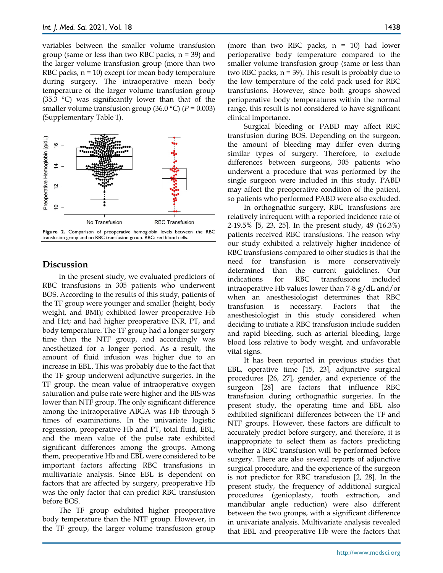variables between the smaller volume transfusion group (same or less than two RBC packs, n = 39) and the larger volume transfusion group (more than two RBC packs,  $n = 10$ ) except for mean body temperature during surgery. The intraoperative mean body temperature of the larger volume transfusion group (35.3 °C) was significantly lower than that of the smaller volume transfusion group (36.0 °C) (*P* = 0.003) (Supplementary Table 1).



# **Discussion**

In the present study, we evaluated predictors of RBC transfusions in 305 patients who underwent BOS. According to the results of this study, patients of the TF group were younger and smaller (height, body weight, and BMI); exhibited lower preoperative Hb and Hct; and had higher preoperative INR, PT, and body temperature. The TF group had a longer surgery time than the NTF group, and accordingly was anesthetized for a longer period. As a result, the amount of fluid infusion was higher due to an increase in EBL. This was probably due to the fact that the TF group underwent adjunctive surgeries. In the TF group, the mean value of intraoperative oxygen saturation and pulse rate were higher and the BIS was lower than NTF group. The only significant difference among the intraoperative ABGA was Hb through 5 times of examinations. In the univariate logistic regression, preoperative Hb and PT, total fluid, EBL, and the mean value of the pulse rate exhibited significant differences among the groups. Among them, preoperative Hb and EBL were considered to be important factors affecting RBC transfusions in multivariate analysis. Since EBL is dependent on factors that are affected by surgery, preoperative Hb was the only factor that can predict RBC transfusion before BOS.

The TF group exhibited higher preoperative body temperature than the NTF group. However, in the TF group, the larger volume transfusion group (more than two RBC packs,  $n = 10$ ) had lower perioperative body temperature compared to the smaller volume transfusion group (same or less than two RBC packs,  $n = 39$ . This result is probably due to the low temperature of the cold pack used for RBC transfusions. However, since both groups showed perioperative body temperatures within the normal range, this result is not considered to have significant clinical importance.

Surgical bleeding or PABD may affect RBC transfusion during BOS. Depending on the surgeon, the amount of bleeding may differ even during similar types of surgery. Therefore, to exclude differences between surgeons, 305 patients who underwent a procedure that was performed by the single surgeon were included in this study. PABD may affect the preoperative condition of the patient, so patients who performed PABD were also excluded.

In orthognathic surgery, RBC transfusions are relatively infrequent with a reported incidence rate of 2-19.5% [5, 23, 25]. In the present study, 49 (16.3%) patients received RBC transfusions. The reason why our study exhibited a relatively higher incidence of RBC transfusions compared to other studies is that the need for transfusion is more conservatively determined than the current guidelines. Our indications for RBC transfusions included intraoperative Hb values lower than 7-8 g/dL and/or when an anesthesiologist determines that RBC transfusion is necessary. Factors that the anesthesiologist in this study considered when deciding to initiate a RBC transfusion include sudden and rapid bleeding, such as arterial bleeding, large blood loss relative to body weight, and unfavorable vital signs.

It has been reported in previous studies that EBL, operative time [15, 23], adjunctive surgical procedures [26, 27], gender, and experience of the surgeon [28] are factors that influence RBC transfusion during orthognathic surgeries. In the present study, the operating time and EBL also exhibited significant differences between the TF and NTF groups. However, these factors are difficult to accurately predict before surgery, and therefore, it is inappropriate to select them as factors predicting whether a RBC transfusion will be performed before surgery. There are also several reports of adjunctive surgical procedure, and the experience of the surgeon is not predictor for RBC transfusion [2, 28]. In the present study, the frequency of additional surgical procedures (genioplasty, tooth extraction, and mandibular angle reduction) were also different between the two groups, with a significant difference in univariate analysis. Multivariate analysis revealed that EBL and preoperative Hb were the factors that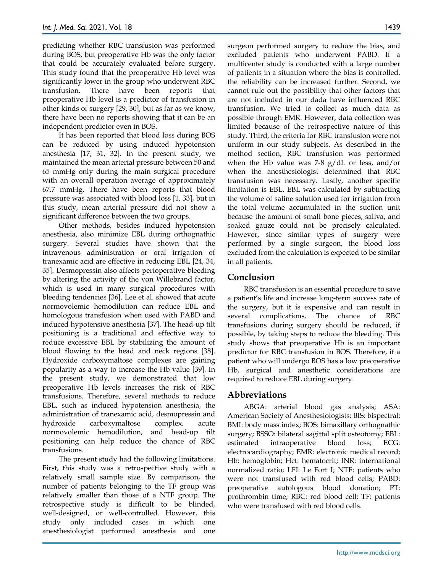predicting whether RBC transfusion was performed during BOS, but preoperative Hb was the only factor that could be accurately evaluated before surgery. This study found that the preoperative Hb level was significantly lower in the group who underwent RBC transfusion. There have been reports that preoperative Hb level is a predictor of transfusion in other kinds of surgery [29, 30], but as far as we know, there have been no reports showing that it can be an independent predictor even in BOS.

It has been reported that blood loss during BOS can be reduced by using induced hypotension anesthesia [17, 31, 32]. In the present study, we maintained the mean arterial pressure between 50 and 65 mmHg only during the main surgical procedure with an overall operation average of approximately 67.7 mmHg. There have been reports that blood pressure was associated with blood loss [1, 33], but in this study, mean arterial pressure did not show a significant difference between the two groups.

Other methods, besides induced hypotension anesthesia, also minimize EBL during orthognathic surgery. Several studies have shown that the intravenous administration or oral irrigation of tranexamic acid are effective in reducing EBL [24, 34, 35]. Desmopressin also affects perioperative bleeding by altering the activity of the von Willebrand factor, which is used in many surgical procedures with bleeding tendencies [36]. Lee et al. showed that acute normovolemic hemodilution can reduce EBL and homologous transfusion when used with PABD and induced hypotensive anesthesia [37]. The head-up tilt positioning is a traditional and effective way to reduce excessive EBL by stabilizing the amount of blood flowing to the head and neck regions [38]. Hydroxide carboxymaltose complexes are gaining popularity as a way to increase the Hb value [39]. In the present study, we demonstrated that low preoperative Hb levels increases the risk of RBC transfusions. Therefore, several methods to reduce EBL, such as induced hypotension anesthesia, the administration of tranexamic acid, desmopressin and hydroxide carboxymaltose complex, acute normovolemic hemodilution, and head-up tilt positioning can help reduce the chance of RBC transfusions.

The present study had the following limitations. First, this study was a retrospective study with a relatively small sample size. By comparison, the number of patients belonging to the TF group was relatively smaller than those of a NTF group. The retrospective study is difficult to be blinded, well-designed, or well-controlled. However, this study only included cases in which one anesthesiologist performed anesthesia and one

surgeon performed surgery to reduce the bias, and excluded patients who underwent PABD. If a multicenter study is conducted with a large number of patients in a situation where the bias is controlled, the reliability can be increased further. Second, we cannot rule out the possibility that other factors that are not included in our dada have influenced RBC transfusion. We tried to collect as much data as possible through EMR. However, data collection was limited because of the retrospective nature of this study. Third, the criteria for RBC transfusion were not uniform in our study subjects. As described in the method section, RBC transfusion was performed when the Hb value was 7-8  $g/dL$  or less, and/or when the anesthesiologist determined that RBC transfusion was necessary. Lastly, another specific limitation is EBL. EBL was calculated by subtracting the volume of saline solution used for irrigation from the total volume accumulated in the suction unit because the amount of small bone pieces, saliva, and soaked gauze could not be precisely calculated. However, since similar types of surgery were performed by a single surgeon, the blood loss excluded from the calculation is expected to be similar in all patients.

# **Conclusion**

RBC transfusion is an essential procedure to save a patient's life and increase long-term success rate of the surgery, but it is expensive and can result in several complications. The chance of RBC transfusions during surgery should be reduced, if possible, by taking steps to reduce the bleeding. This study shows that preoperative Hb is an important predictor for RBC transfusion in BOS. Therefore, if a patient who will undergo BOS has a low preoperative Hb, surgical and anesthetic considerations are required to reduce EBL during surgery.

# **Abbreviations**

ABGA: arterial blood gas analysis; ASA: American Society of Anesthesiologists; BIS: bispectral; BMI: body mass index; BOS: bimaxillary orthognathic surgery; BSSO: bilateral sagittal split osteotomy; EBL: estimated intraoperative blood loss; ECG: electrocardiography; EMR: electronic medical record; Hb: hemoglobin; Hct: hematocrit; INR: international normalized ratio; LFI: Le Fort I; NTF: patients who were not transfused with red blood cells; PABD: preoperative autologous blood donation; PT: prothrombin time; RBC: red blood cell; TF: patients who were transfused with red blood cells.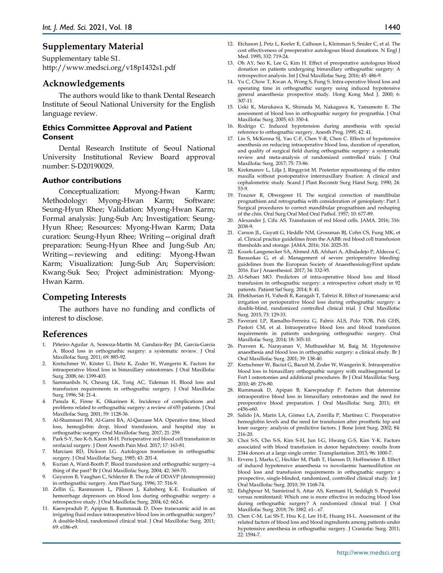# **Supplementary Material**

Supplementary table S1. http://www.medsci.org/v18p1432s1.pdf

## **Acknowledgements**

The authors would like to thank Dental Research Institute of Seoul National University for the English language review.

#### **Ethics Committee Approval and Patient Consent**

Dental Research Institute of Seoul National University Institutional Review Board approval number: S-D20190029.

#### **Author contributions**

Conceptualization: Myong-Hwan Karm; Methodology: Myong-Hwan Karm; Software: Seung-Hyun Rhee; Validation: Myong-Hwan Karm; Formal analysis: Jung-Sub An; Investigation: Seung-Hyun Rhee; Resources: Myong-Hwan Karm; Data curation: Seung-Hyun Rhee; Writing—original draft preparation: Seung-Hyun Rhee and Jung-Sub An; Writing—reviewing and editing: Myong-Hwan Karm; Visualization: Jung-Sub An; Supervision: Kwang-Suk Seo; Project administration: Myong-Hwan Karm.

## **Competing Interests**

The authors have no funding and conflicts of interest to disclose.

#### **References**

- 1. Piñeiro-Aguilar A, Somoza-Martín M, Gandara-Rey JM, García-García A. Blood loss in orthognathic surgery: a systematic review. J Oral Maxillofac Surg. 2011; 69: 885-92.
- 2. Kretschmer W, Köster U, Dietz K, Zoder W, Wangerin K. Factors for intraoperative blood loss in bimaxillary osteotomies. J Oral Maxillofac Surg. 2008; 66: 1399-403.
- 3. Sammanbds N, Cheung LK, Tong AC, Tideman H. Blood loss and transfusion requirements in orthognathic surgery. J Oral Maxillofac Surg. 1996; 54: 21-4.
- 4. Panula K, Finne K, Oikarinen K. Incidence of complications and problems related to orthognathic surgery: a review of 655 patients. J Oral Maxillofac Surg. 2001; 59: 1128-36.
- 5. Al-Shammari FM, Al-Garni BA, Al-Qarzaee MA. Operative time, blood loss, hemoglobin drop, blood transfusion, and hospital stay in orthognathic surgery. Oral Maxillofac Surg. 2017; 21: 259.
- 6. Park S-Y, Seo K-S, Karm M-H. Perioperative red blood cell transfusion in orofacial surgery. J Dent Anesth Pain Med. 2017; 17: 163-81.
- 7. Marciani RD, Dickson LG. Autologous transfusion in orthognathic surgery. J Oral Maxillofac Surg. 1985; 43: 201-4.
- 8. Kurian A, Ward-Booth P. Blood transfusion and orthognathic surgery--a thing of the past? Br J Oral Maxillofac Surg. 2004; 42: 369-70.
- Guyuron B, Vaughan C, Schlecter B. The role of DDAVP (desmopressin) in orthognathic surgery. Ann Plast Surg. 1996; 37: 516-9.
- 10. Zellin G, Rasmusson L, Pålsson J, Kahnberg K-E. Evaluation of hemorrhage depressors on blood loss during orthognathic surgery: a retrospective study. J Oral Maxillofac Surg. 2004; 62: 662-6.
- 11. Kaewpradub P, Apipan B, Rummasak D. Does tranexamic acid in an irrigating fluid reduce intraoperative blood loss in orthognathic surgery? A double-blind, randomized clinical trial. J Oral Maxillofac Surg. 2011; 69: e186-e9.
- 12. Etchason J, Petz L, Keeler E, Calhoun L, Kleinman S, Snider C, et al. The cost effectiveness of preoperative autologous blood donations. N Engl J Med. 1995; 332: 719-24.
- 13. Oh AY, Seo K, Lee G, Kim H. Effect of preoperative autologous blood donation on patients undergoing bimaxillary orthognathic surgery: A retrospective analysis. Int J Oral Maxillofac Surg. 2016; 45: 486-9.
- 14. Yu C, Chow T, Kwan A, Wong S, Fung S. Intra-operative blood loss and operating time in orthognathic surgery using induced hypotensive general anaesthesia: prospective study. Hong Kong Med J. 2000; 6: 307-11.
- 15. Ueki K, Marukawa K, Shimada M, Nakagawa K, Yamamoto E. The assessment of blood loss in orthognathic surgery for prognathia. J Oral Maxillofac Surg. 2005; 63: 350-4.
- 16. Rodrigo C. Induced hypotension during anesthesia with special reference to orthognathic surgery. Anesth Prog. 1995; 42: 41.
- 17. Lin S, McKenna SJ, Yao C-F, Chen Y-R, Chen C. Effects of hypotensive anesthesia on reducing intraoperative blood loss, duration of operation, and quality of surgical field during orthognathic surgery: a systematic review and meta-analysis of randomized controlled trials. J Oral Maxillofac Surg. 2017; 75: 73-86.
- 18. Krekmanov L, Lilja J, Ringqvist M. Posterior repositioning of the entire maxilla without postoperative intermaxillary fixation: A clinical and cephalometric study. Scand J Plast Reconstr Surg Hand Surg. 1990; 24: 53-9.
- 19. Trauner R, Obwegeser H. The surgical correction of mandibular prognathism and retrognathia with consideration of genioplasty: Part I. Surgical procedures to correct mandibular prognathism and reshaping of the chin. Oral Surg Oral Med Oral Pathol. 1957; 10: 677-89.
- 20. Alexander J, Cifu AS. Transfusion of red blood cells. JAMA. 2016; 316: 2038-9.
- 21. Carson JL, Guyatt G, Heddle NM, Grossman BJ, Cohn CS, Fung MK, et al. Clinical practice guidelines from the AABB: red blood cell transfusion thresholds and storage. JAMA. 2016; 316: 2025-35.
- 22. Kozek-Langenecker SA, Ahmed AB, Afshari A, Albaladejo P, Aldecoa C, Barauskas G, et al. Management of severe perioperative bleeding: guidelines from the European Society of AnaesthesiologyFirst update 2016. Eur J Anaesthesiol. 2017; 34: 332-95.
- 23. Al-Sebaei MO. Predictors of intra-operative blood loss and blood transfusion in orthognathic surgery: a retrospective cohort study in 92 patients. Patient Saf Surg. 2014; 8: 41.
- 24. Eftekharian H, Vahedi R, Karagah T, Tabrizi R. Effect of tranexamic acid irrigation on perioperative blood loss during orthognathic surgery: a double-blind, randomized controlled clinical trial. J Oral Maxillofac Surg. 2015; 73: 129-33.
- 25. Faverani LP, Ramalho-Ferreira G, Fabris ALS, Polo TOB, Poli GHS, Pastori CM, et al. Intraoperative blood loss and blood transfusion requirements in patients undergoing orthognathic surgery. Oral Maxillofac Surg. 2014; 18: 305-10.
- 26. Praveen K, Narayanan V, Muthusekhar M, Baig M. Hypotensive anaesthesia and blood loss in orthognathic surgery: a clinical study. Br J Oral Maxillofac Surg. 2001; 39: 138-40.
- 27. Kretschmer W, Baciut G, Bacuit M, Zoder W, Wangerin K. Intraoperative blood loss in bimaxillary orthognathic surgery with multisegmental Le Fort I osteotomies and additional procedures. Br J Oral Maxillofac Surg. 2010; 48: 276-80.
- 28. Rummasak D, Apipan B, Kaewpradup P. Factors that determine intraoperative blood loss in bimaxillary osteotomies and the need for preoperative blood preparation. J Oral Maxillofac Surg. 2011; 69: e456-e60.
- 29. Salido JA, Marín LA, Gómez LA, Zorrilla P, Martínez C. Preoperative hemoglobin levels and the need for transfusion after prosthetic hip and knee surgery: analysis of predictive factors. J Bone Joint Surg. 2002; 84: 216-20.
- 30. Choi S-S, Cho S-S, Kim S-H, Jun I-G, Hwang G-S, Kim Y-K. Factors associated with blood transfusion in donor hepatectomy: results from 2344 donors at a large single center. Transplantation. 2013; 96: 1000-7.
- 31. Ervens J, Marks C, Hechler M, Plath T, Hansen D, Hoffmeister B. Effect of induced hypotensive anaesthesia vs isovolaemic haemodilution on blood loss and transfusion requirements in orthognathic surgery: a prospective, single-blinded, randomized, controlled clinical study. Int J Oral Maxillofac Surg. 2010; 39: 1168-74.
- 32. Eshghpour M, Samieirad S, Attar AS, Kermani H, Seddigh S. Propofol versus remifentanil: Which one is more effective in reducing blood loss during orthognathic surgery? A randomized clinical trial. J Oral Maxillofac Surg. 2018; 76: 1882. e1-. e7.
- 33. Chen C-M, Lai SS-T, Hsu K-J, Lee H-E, Huang H-L. Assessment of the related factors of blood loss and blood ingredients among patients under hypotensive anesthesia in orthognathic surgery. J Craniofac Surg. 2011; 22: 1594-7.